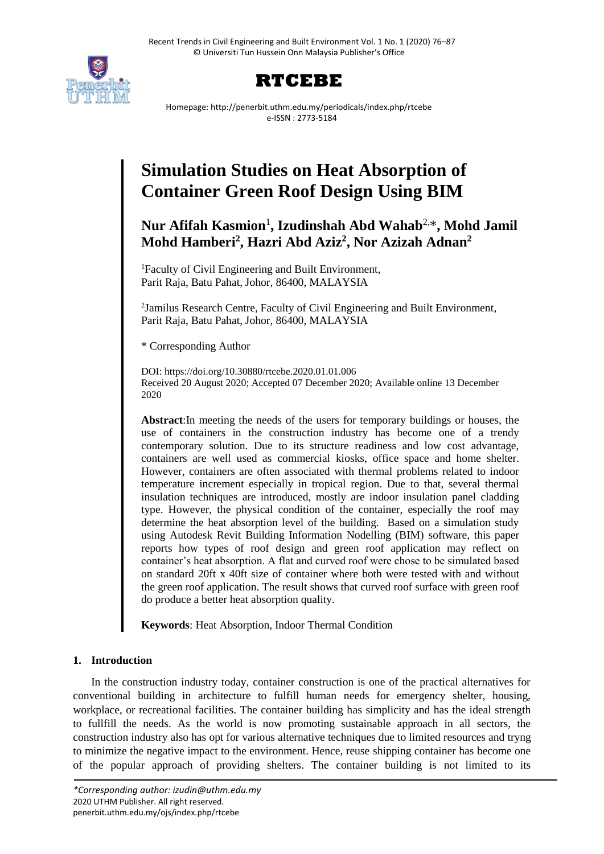



Homepage: http://penerbit.uthm.edu.my/periodicals/index.php/rtcebe e-ISSN : 2773-5184

# **Simulation Studies on Heat Absorption of Container Green Roof Design Using BIM**

**Nur Afifah Kasmion**<sup>1</sup> **, Izudinshah Abd Wahab**2,\* **, Mohd Jamil Mohd Hamberi<sup>2</sup> , Hazri Abd Aziz<sup>2</sup> , Nor Azizah Adnan<sup>2</sup>**

<sup>1</sup>Faculty of Civil Engineering and Built Environment, Parit Raja, Batu Pahat, Johor, 86400, MALAYSIA

<sup>2</sup>Jamilus Research Centre, Faculty of Civil Engineering and Built Environment, Parit Raja, Batu Pahat, Johor, 86400, MALAYSIA

\* Corresponding Author

DOI: https://doi.org/10.30880/rtcebe.2020.01.01.006 Received 20 August 2020; Accepted 07 December 2020; Available online 13 December 2020

**Abstract**:In meeting the needs of the users for temporary buildings or houses, the use of containers in the construction industry has become one of a trendy contemporary solution. Due to its structure readiness and low cost advantage, containers are well used as commercial kiosks, office space and home shelter. However, containers are often associated with thermal problems related to indoor temperature increment especially in tropical region. Due to that, several thermal insulation techniques are introduced, mostly are indoor insulation panel cladding type. However, the physical condition of the container, especially the roof may determine the heat absorption level of the building. Based on a simulation study using Autodesk Revit Building Information Nodelling (BIM) software, this paper reports how types of roof design and green roof application may reflect on container's heat absorption. A flat and curved roof were chose to be simulated based on standard 20ft x 40ft size of container where both were tested with and without the green roof application. The result shows that curved roof surface with green roof do produce a better heat absorption quality.

**Keywords**: Heat Absorption, Indoor Thermal Condition

## **1. Introduction**

In the construction industry today, container construction is one of the practical alternatives for conventional building in architecture to fulfill human needs for emergency shelter, housing, workplace, or recreational facilities. The container building has simplicity and has the ideal strength to fullfill the needs. As the world is now promoting sustainable approach in all sectors, the construction industry also has opt for various alternative techniques due to limited resources and tryng to minimize the negative impact to the environment. Hence, reuse shipping container has become one of the popular approach of providing shelters. The container building is not limited to its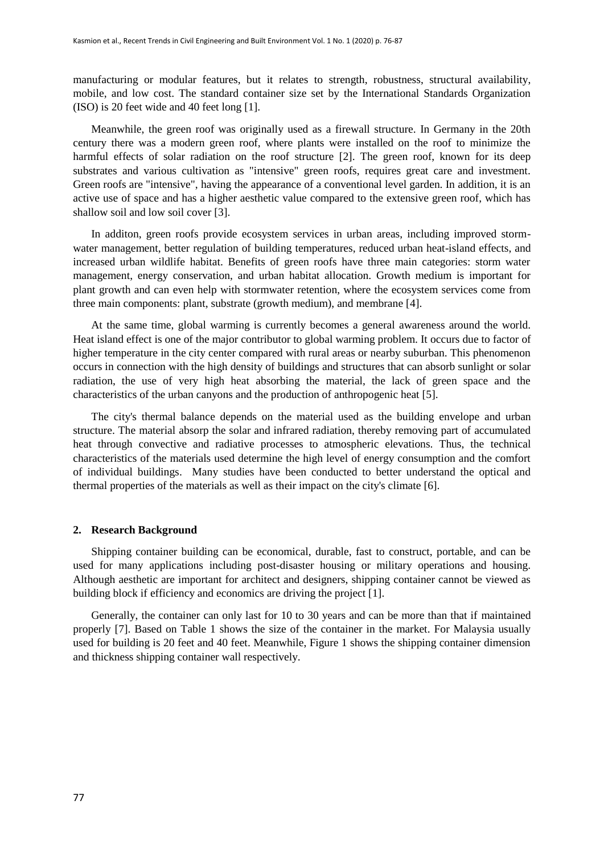manufacturing or modular features, but it relates to strength, robustness, structural availability, mobile, and low cost. The standard container size set by the International Standards Organization (ISO) is 20 feet wide and 40 feet long [1].

Meanwhile, the green roof was originally used as a firewall structure. In Germany in the 20th century there was a modern green roof, where plants were installed on the roof to minimize the harmful effects of solar radiation on the roof structure [2]. The green roof, known for its deep substrates and various cultivation as "intensive" green roofs, requires great care and investment. Green roofs are "intensive", having the appearance of a conventional level garden. In addition, it is an active use of space and has a higher aesthetic value compared to the extensive green roof, which has shallow soil and low soil cover [3].

In additon, green roofs provide ecosystem services in urban areas, including improved stormwater management, better regulation of building temperatures, reduced urban heat-island effects, and increased urban wildlife habitat. Benefits of green roofs have three main categories: storm water management, energy conservation, and urban habitat allocation. Growth medium is important for plant growth and can even help with stormwater retention, where the ecosystem services come from three main components: plant, substrate (growth medium), and membrane [4].

At the same time, global warming is currently becomes a general awareness around the world. Heat island effect is one of the major contributor to global warming problem. It occurs due to factor of higher temperature in the city center compared with rural areas or nearby suburban. This phenomenon occurs in connection with the high density of buildings and structures that can absorb sunlight or solar radiation, the use of very high heat absorbing the material, the lack of green space and the characteristics of the urban canyons and the production of anthropogenic heat [5].

The city's thermal balance depends on the material used as the building envelope and urban structure. The material absorp the solar and infrared radiation, thereby removing part of accumulated heat through convective and radiative processes to atmospheric elevations. Thus, the technical characteristics of the materials used determine the high level of energy consumption and the comfort of individual buildings. Many studies have been conducted to better understand the optical and thermal properties of the materials as well as their impact on the city's climate [6].

## **2. Research Background**

Shipping container building can be economical, durable, fast to construct, portable, and can be used for many applications including post-disaster housing or military operations and housing. Although aesthetic are important for architect and designers, shipping container cannot be viewed as building block if efficiency and economics are driving the project [1].

Generally, the container can only last for 10 to 30 years and can be more than that if maintained properly [7]. Based on Table 1 shows the size of the container in the market. For Malaysia usually used for building is 20 feet and 40 feet. Meanwhile, Figure 1 shows the shipping container dimension and thickness shipping container wall respectively.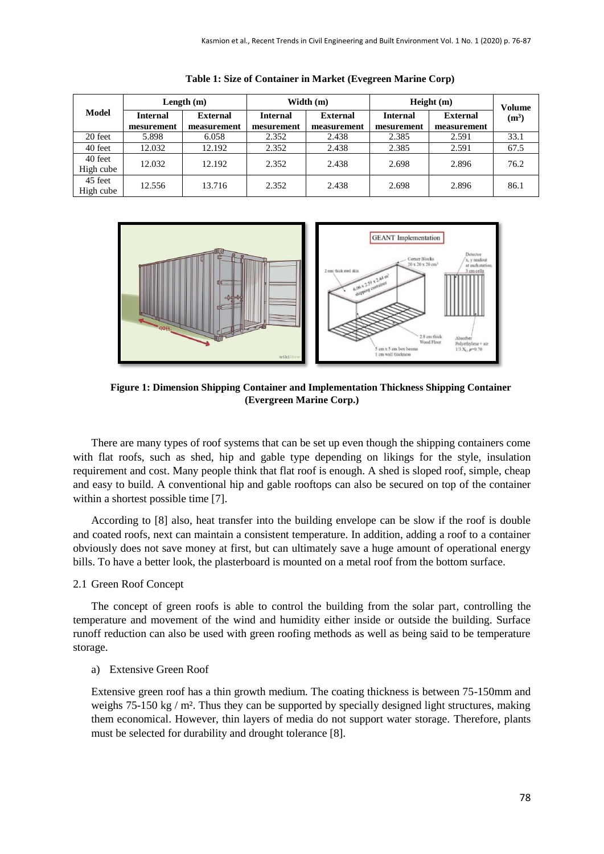|                      | Length $(m)$ |                 | Width $(m)$     |                 | Height(m)       |                 | Volume            |
|----------------------|--------------|-----------------|-----------------|-----------------|-----------------|-----------------|-------------------|
| Model                | Internal     | <b>External</b> | <b>Internal</b> | <b>External</b> | <b>Internal</b> | <b>External</b> | (m <sup>3</sup> ) |
|                      | mesurement   | measurement     | mesurement      | measurement     | mesurement      | measurement     |                   |
| 20 feet              | 5.898        | 6.058           | 2.352           | 2.438           | 2.385           | 2.591           | 33.1              |
| 40 feet              | 12.032       | 12.192          | 2.352           | 2.438           | 2.385           | 2.591           | 67.5              |
| 40 feet<br>High cube | 12.032       | 12.192          | 2.352           | 2.438           | 2.698           | 2.896           | 76.2              |
| 45 feet<br>High cube | 12.556       | 13.716          | 2.352           | 2.438           | 2.698           | 2.896           | 86.1              |

**Table 1: Size of Container in Market (Evegreen Marine Corp)**



**Figure 1: Dimension Shipping Container and Implementation Thickness Shipping Container (Evergreen Marine Corp.)**

There are many types of roof systems that can be set up even though the shipping containers come with flat roofs, such as shed, hip and gable type depending on likings for the style, insulation requirement and cost. Many people think that flat roof is enough. A shed is sloped roof, simple, cheap and easy to build. A conventional hip and gable rooftops can also be secured on top of the container within a shortest possible time [7].

According to [8] also, heat transfer into the building envelope can be slow if the roof is double and coated roofs, next can maintain a consistent temperature. In addition, adding a roof to a container obviously does not save money at first, but can ultimately save a huge amount of operational energy bills. To have a better look, the plasterboard is mounted on a metal roof from the bottom surface.

## 2.1 Green Roof Concept

The concept of green roofs is able to control the building from the solar part, controlling the temperature and movement of the wind and humidity either inside or outside the building. Surface runoff reduction can also be used with green roofing methods as well as being said to be temperature storage.

## a) Extensive Green Roof

Extensive green roof has a thin growth medium. The coating thickness is between 75-150mm and weighs  $75-150 \text{ kg}$  / m<sup>2</sup>. Thus they can be supported by specially designed light structures, making them economical. However, thin layers of media do not support water storage. Therefore, plants must be selected for durability and drought tolerance [8].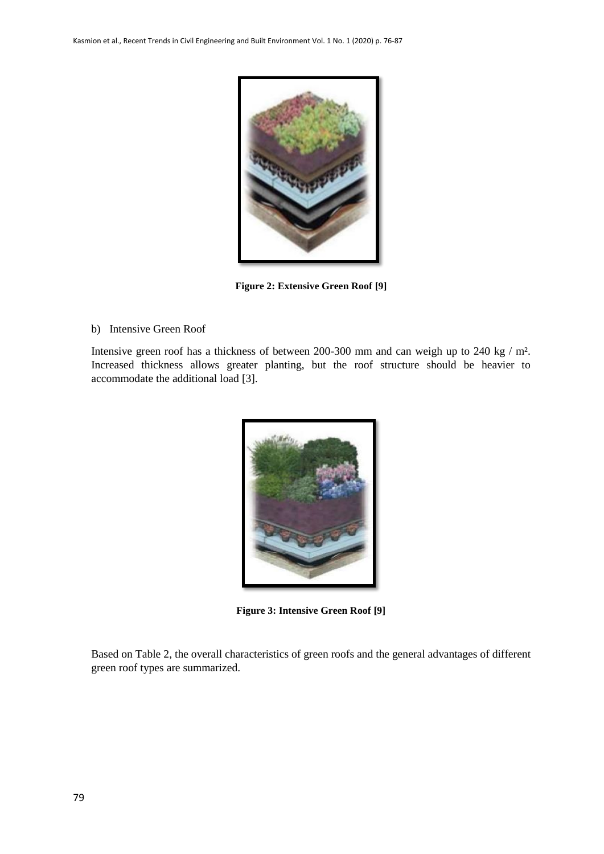

**Figure 2: Extensive Green Roof [9]**

b) Intensive Green Roof

Intensive green roof has a thickness of between 200-300 mm and can weigh up to 240 kg / m². Increased thickness allows greater planting, but the roof structure should be heavier to accommodate the additional load [3].



**Figure 3: Intensive Green Roof [9]**

Based on Table 2, the overall characteristics of green roofs and the general advantages of different green roof types are summarized.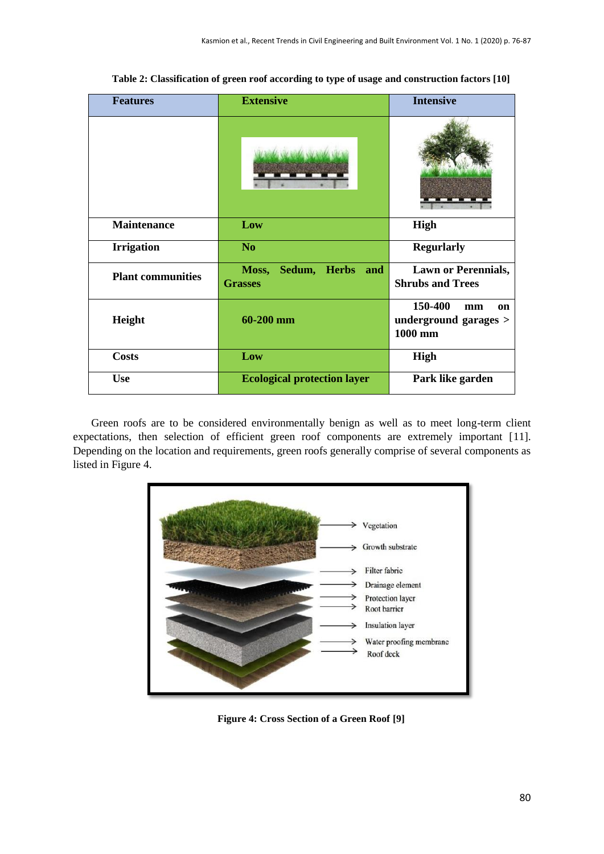| <b>Features</b>          | <b>Extensive</b>                               | <b>Intensive</b>                                        |  |
|--------------------------|------------------------------------------------|---------------------------------------------------------|--|
|                          |                                                |                                                         |  |
| <b>Maintenance</b>       | Low                                            | <b>High</b>                                             |  |
| <b>Irrigation</b>        | N <sub>o</sub>                                 | <b>Regurlarly</b>                                       |  |
| <b>Plant communities</b> | Sedum, Herbs<br>Moss,<br>and<br><b>Grasses</b> | <b>Lawn or Perennials,</b><br><b>Shrubs and Trees</b>   |  |
| Height                   | 60-200 mm                                      | 150-400<br>mm<br>on<br>underground garages ><br>1000 mm |  |
| <b>Costs</b>             | Low                                            | <b>High</b>                                             |  |
| <b>Use</b>               | <b>Ecological protection layer</b>             | Park like garden                                        |  |

**Table 2: Classification of green roof according to type of usage and construction factors [10]**

Green roofs are to be considered environmentally benign as well as to meet long-term client expectations, then selection of efficient green roof components are extremely important [11]. Depending on the location and requirements, green roofs generally comprise of several components as listed in Figure 4.



**Figure 4: Cross Section of a Green Roof [9]**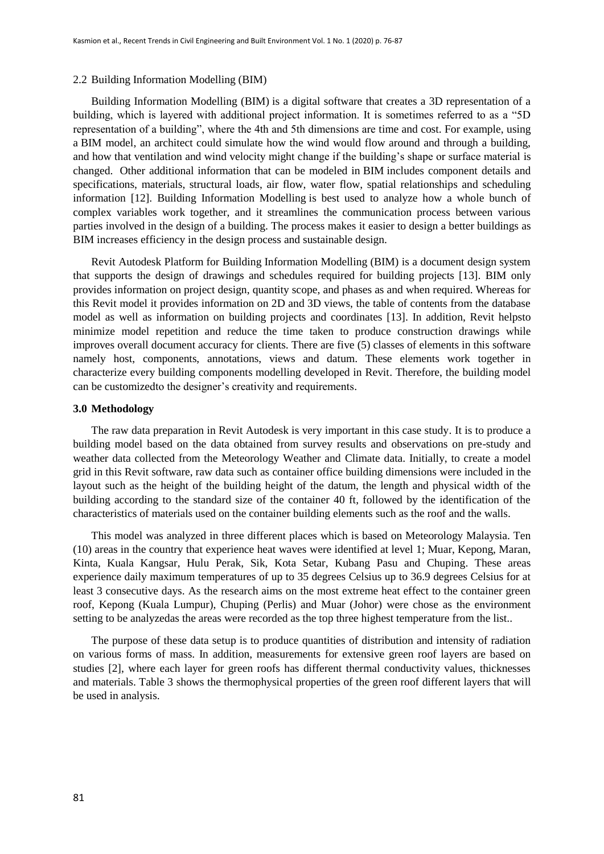#### 2.2 Building Information Modelling (BIM)

[Building Information Modelling](http://usa.autodesk.com/building-information-modeling/) (BIM) is a digital software that creates a 3D representation of a building, which is layered with additional project information. It is sometimes referred to as a "5D representation of a building", where the 4th and 5th dimensions are time and cost. For example, using a [BIM model,](http://en.wikipedia.org/wiki/Building_Information_Modeling) an architect could simulate how the wind would flow around and through a building, and how that ventilation and wind velocity might change if the building's shape or surface material is changed. Other additional information that can be modeled in [BIM](http://en.wikipedia.org/wiki/Building_Information_Modeling) includes component details and specifications, materials, structural loads, air flow, water flow, spatial relationships and scheduling information [12]. [Building Information Modelling](http://en.wikipedia.org/wiki/Building_Information_Modeling) is best used to analyze how a whole bunch of complex variables work together, and it streamlines the communication process between various parties involved in the design of a building. The process makes it easier to design a better buildings as [BIM](http://en.wikipedia.org/wiki/Building_Information_Modeling) increases efficiency in the design process and sustainable design.

Revit Autodesk Platform for Building Information Modelling (BIM) is a document design system that supports the design of drawings and schedules required for building projects [13]. BIM only provides information on project design, quantity scope, and phases as and when required. Whereas for this Revit model it provides information on 2D and 3D views, the table of contents from the database model as well as information on building projects and coordinates [13]. In addition, Revit helpsto minimize model repetition and reduce the time taken to produce construction drawings while improves overall document accuracy for clients. There are five (5) classes of elements in this software namely host, components, annotations, views and datum. These elements work together in characterize every building components modelling developed in Revit. Therefore, the building model can be customizedto the designer's creativity and requirements.

#### **3.0 Methodology**

The raw data preparation in Revit Autodesk is very important in this case study. It is to produce a building model based on the data obtained from survey results and observations on pre-study and weather data collected from the Meteorology Weather and Climate data. Initially, to create a model grid in this Revit software, raw data such as container office building dimensions were included in the layout such as the height of the building height of the datum, the length and physical width of the building according to the standard size of the container 40 ft, followed by the identification of the characteristics of materials used on the container building elements such as the roof and the walls.

This model was analyzed in three different places which is based on Meteorology Malaysia. Ten (10) areas in the country that experience heat waves were identified at level 1; Muar, Kepong, Maran, Kinta, Kuala Kangsar, Hulu Perak, Sik, Kota Setar, Kubang Pasu and Chuping. These areas experience daily maximum temperatures of up to 35 degrees Celsius up to 36.9 degrees Celsius for at least 3 consecutive days. As the research aims on the most extreme heat effect to the container green roof, Kepong (Kuala Lumpur), Chuping (Perlis) and Muar (Johor) were chose as the environment setting to be analyzedas the areas were recorded as the top three highest temperature from the list..

The purpose of these data setup is to produce quantities of distribution and intensity of radiation on various forms of mass. In addition, measurements for extensive green roof layers are based on studies [2], where each layer for green roofs has different thermal conductivity values, thicknesses and materials. Table 3 shows the thermophysical properties of the green roof different layers that will be used in analysis.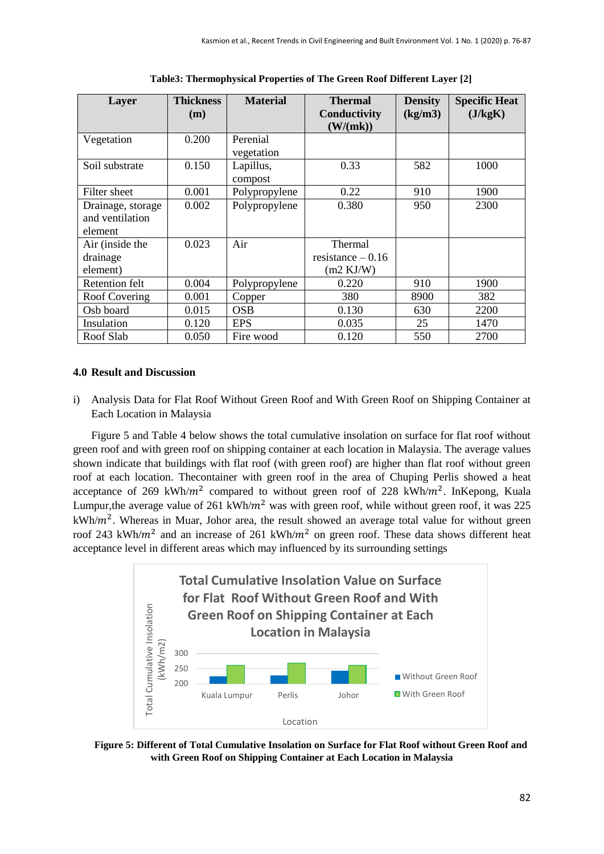| Layer                                           | <b>Thickness</b><br>(m) | <b>Material</b>        | <b>Thermal</b><br>Conductivity<br>(W/(mk))           | <b>Density</b><br>(kg/m3) | <b>Specific Heat</b><br>(J/kgK) |
|-------------------------------------------------|-------------------------|------------------------|------------------------------------------------------|---------------------------|---------------------------------|
| Vegetation                                      | 0.200                   | Perenial<br>vegetation |                                                      |                           |                                 |
| Soil substrate                                  | 0.150                   | Lapillus,<br>compost   | 0.33                                                 | 582                       | 1000                            |
| Filter sheet                                    | 0.001                   | Polypropylene          | 0.22                                                 | 910                       | 1900                            |
| Drainage, storage<br>and ventilation<br>element | 0.002                   | Polypropylene          | 0.380                                                | 950                       | 2300                            |
| Air (inside the<br>drainage<br>element)         | 0.023                   | Air                    | Thermal<br>resistance $-0.16$<br>$(m2 \text{ KJ/W})$ |                           |                                 |
| <b>Retention felt</b>                           | 0.004                   | Polypropylene          | 0.220                                                | 910                       | 1900                            |
| Roof Covering                                   | 0.001                   | Copper                 | 380                                                  | 8900                      | 382                             |
| Osb board                                       | 0.015                   | <b>OSB</b>             | 0.130                                                | 630                       | 2200                            |
| Insulation                                      | 0.120                   | <b>EPS</b>             | 0.035                                                | 25                        | 1470                            |
| Roof Slab                                       | 0.050                   | Fire wood              | 0.120                                                | 550                       | 2700                            |

**Table3: Thermophysical Properties of The Green Roof Different Layer [2]**

## **4.0 Result and Discussion**

i) Analysis Data for Flat Roof Without Green Roof and With Green Roof on Shipping Container at Each Location in Malaysia

Figure 5 and Table 4 below shows the total cumulative insolation on surface for flat roof without green roof and with green roof on shipping container at each location in Malaysia. The average values shown indicate that buildings with flat roof (with green roof) are higher than flat roof without green roof at each location. Thecontainer with green roof in the area of Chuping Perlis showed a heat acceptance of 269 kWh/ $m^2$  compared to without green roof of 228 kWh/ $m^2$ . InKepong, Kuala Lumpur, the average value of 261 kWh/ $m^2$  was with green roof, while without green roof, it was 225  $kWh/m<sup>2</sup>$ . Whereas in Muar, Johor area, the result showed an average total value for without green roof 243 kWh/ $m^2$  and an increase of 261 kWh/ $m^2$  on green roof. These data shows different heat acceptance level in different areas which may influenced by its surrounding settings



**Figure 5: Different of Total Cumulative Insolation on Surface for Flat Roof without Green Roof and with Green Roof on Shipping Container at Each Location in Malaysia**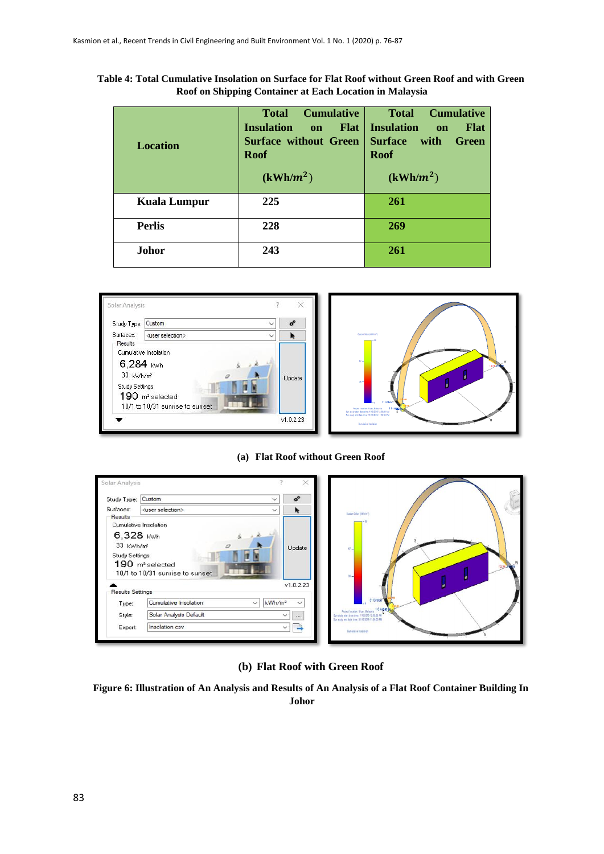| <b>Location</b>     | <b>Cumulative</b><br><b>Total</b><br>Flat  <br><b>Insulation</b><br>on<br><b>Surface without Green</b><br><b>Roof</b><br>$(kWh/m^2)$ | <b>Cumulative</b><br><b>Total</b><br><b>Insulation</b><br><b>Flat</b><br><b>on</b><br><b>Surface</b><br>with<br><b>Green</b><br><b>Roof</b><br>$(kWh/m^2)$ |
|---------------------|--------------------------------------------------------------------------------------------------------------------------------------|------------------------------------------------------------------------------------------------------------------------------------------------------------|
| <b>Kuala Lumpur</b> | 225                                                                                                                                  | 261                                                                                                                                                        |
| <b>Perlis</b>       | 228                                                                                                                                  | 269                                                                                                                                                        |
| <b>Johor</b>        | 243                                                                                                                                  | 261                                                                                                                                                        |

**Table 4: Total Cumulative Insolation on Surface for Flat Roof without Green Roof and with Green Roof on Shipping Container at Each Location in Malaysia**





**(a) Flat Roof without Green Roof**



**(b) Flat Roof with Green Roof**

**Figure 6: Illustration of An Analysis and Results of An Analysis of a Flat Roof Container Building In Johor**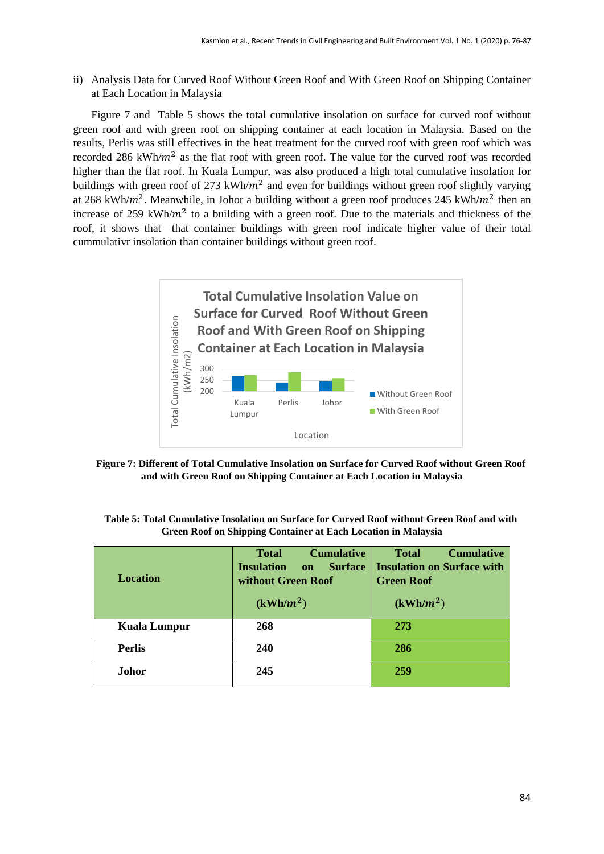ii) Analysis Data for Curved Roof Without Green Roof and With Green Roof on Shipping Container at Each Location in Malaysia

Figure 7 and Table 5 shows the total cumulative insolation on surface for curved roof without green roof and with green roof on shipping container at each location in Malaysia. Based on the results, Perlis was still effectives in the heat treatment for the curved roof with green roof which was recorded 286 kWh/ $m^2$  as the flat roof with green roof. The value for the curved roof was recorded higher than the flat roof. In Kuala Lumpur, was also produced a high total cumulative insolation for buildings with green roof of 273 kWh/ $m^2$  and even for buildings without green roof slightly varying at 268 kWh/ $m^2$ . Meanwhile, in Johor a building without a green roof produces 245 kWh/ $m^2$  then an increase of 259 kWh/ $m<sup>2</sup>$  to a building with a green roof. Due to the materials and thickness of the roof, it shows that that container buildings with green roof indicate higher value of their total cummulativr insolation than container buildings without green roof.



**Figure 7: Different of Total Cumulative Insolation on Surface for Curved Roof without Green Roof and with Green Roof on Shipping Container at Each Location in Malaysia**

| Table 5: Total Cumulative Insolation on Surface for Curved Roof without Green Roof and with |  |  |
|---------------------------------------------------------------------------------------------|--|--|
| Green Roof on Shipping Container at Each Location in Malaysia                               |  |  |

| <b>Location</b> | <b>Cumulative</b><br><b>Total</b><br><b>Insulation</b><br><b>Surface</b><br>$\overline{\mathbf{on}}$<br>without Green Roof<br>$(kWh/m^2)$ | <b>Total</b><br><b>Cumulative</b><br><b>Insulation on Surface with</b><br><b>Green Roof</b><br>(kWh/m <sup>2</sup> ) |
|-----------------|-------------------------------------------------------------------------------------------------------------------------------------------|----------------------------------------------------------------------------------------------------------------------|
| Kuala Lumpur    | 268                                                                                                                                       | <b>273</b>                                                                                                           |
| <b>Perlis</b>   | 240                                                                                                                                       | <b>286</b>                                                                                                           |
| Johor           | 245                                                                                                                                       | 259                                                                                                                  |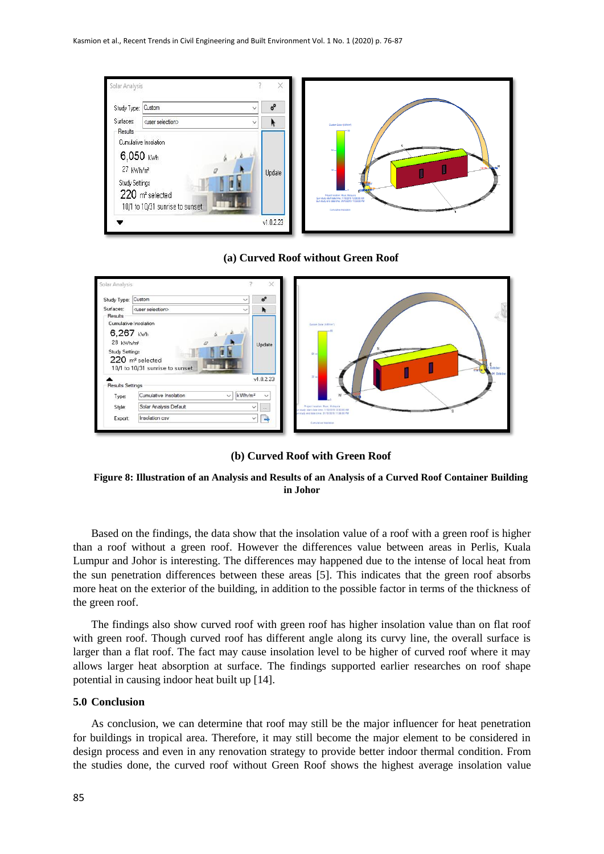

#### **(a) Curved Roof without Green Roof**



## **(b) Curved Roof with Green Roof**

**Figure 8: Illustration of an Analysis and Results of an Analysis of a Curved Roof Container Building in Johor**

Based on the findings, the data show that the insolation value of a roof with a green roof is higher than a roof without a green roof. However the differences value between areas in Perlis, Kuala Lumpur and Johor is interesting. The differences may happened due to the intense of local heat from the sun penetration differences between these areas [5]. This indicates that the green roof absorbs more heat on the exterior of the building, in addition to the possible factor in terms of the thickness of the green roof.

The findings also show curved roof with green roof has higher insolation value than on flat roof with green roof. Though curved roof has different angle along its curvy line, the overall surface is larger than a flat roof. The fact may cause insolation level to be higher of curved roof where it may allows larger heat absorption at surface. The findings supported earlier researches on roof shape potential in causing indoor heat built up [14].

## **5.0 Conclusion**

As conclusion, we can determine that roof may still be the major influencer for heat penetration for buildings in tropical area. Therefore, it may still become the major element to be considered in design process and even in any renovation strategy to provide better indoor thermal condition. From the studies done, the curved roof without Green Roof shows the highest average insolation value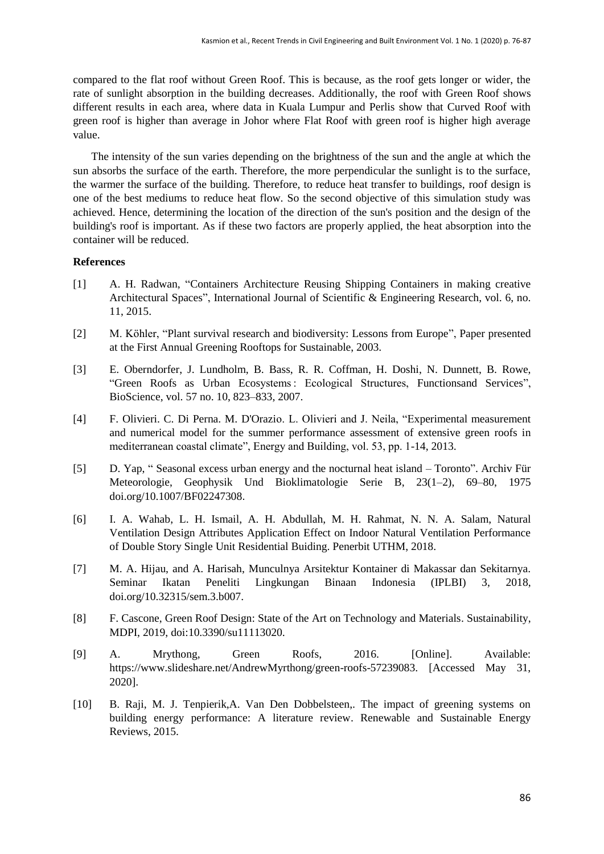compared to the flat roof without Green Roof. This is because, as the roof gets longer or wider, the rate of sunlight absorption in the building decreases. Additionally, the roof with Green Roof shows different results in each area, where data in Kuala Lumpur and Perlis show that Curved Roof with green roof is higher than average in Johor where Flat Roof with green roof is higher high average value.

The intensity of the sun varies depending on the brightness of the sun and the angle at which the sun absorbs the surface of the earth. Therefore, the more perpendicular the sunlight is to the surface, the warmer the surface of the building. Therefore, to reduce heat transfer to buildings, roof design is one of the best mediums to reduce heat flow. So the second objective of this simulation study was achieved. Hence, determining the location of the direction of the sun's position and the design of the building's roof is important. As if these two factors are properly applied, the heat absorption into the container will be reduced.

## **References**

- [1] A. H. Radwan, "Containers Architecture Reusing Shipping Containers in making creative Architectural Spaces", International Journal of Scientific & Engineering Research, vol. 6, no. 11, 2015.
- [2] M. Köhler, "Plant survival research and biodiversity: Lessons from Europe", Paper presented at the First Annual Greening Rooftops for Sustainable, 2003.
- [3] E. Oberndorfer, J. Lundholm, B. Bass, R. R. Coffman, H. Doshi, N. Dunnett, B. Rowe, "Green Roofs as Urban Ecosystems : Ecological Structures, Functionsand Services", BioScience, vol. 57 no. 10, 823–833, 2007.
- [4] F. Olivieri. C. Di Perna. M. D'Orazio. L. Olivieri and J. Neila, "Experimental measurement and numerical model for the summer performance assessment of extensive green roofs in mediterranean coastal climate", Energy and Building, vol. 53, pp. 1-14, 2013.
- [5] D. Yap, " Seasonal excess urban energy and the nocturnal heat island Toronto". Archiv Für Meteorologie, Geophysik Und Bioklimatologie Serie B, 23(1–2), 69–80, 1975 [doi.org/10.1007/BF02247308](https://doi.org/10.1007/BF02247308).
- [6] I. A. Wahab, L. H. Ismail, A. H. Abdullah, M. H. Rahmat, N. N. A. Salam, Natural Ventilation Design Attributes Application Effect on Indoor Natural Ventilation Performance of Double Story Single Unit Residential Buiding. Penerbit UTHM, 2018.
- [7] M. A. Hijau, and A. Harisah, Munculnya Arsitektur Kontainer di Makassar dan Sekitarnya. Seminar Ikatan Peneliti Lingkungan Binaan Indonesia (IPLBI) 3, 2018, doi.org/10.32315/sem.3.b007.
- [8] F. Cascone, Green Roof Design: State of the Art on Technology and Materials. Sustainability, MDPI, 2019, doi:10.3390/su11113020.
- [9] A. Mrythong, Green Roofs, 2016. [Online]. Available: https://www.slideshare.net/AndrewMyrthong/green-roofs-57239083. [Accessed May 31, 2020].
- [10] B. Raji, M. J. Tenpierik,A. Van Den Dobbelsteen,. [The impact of greening systems on](https://www.sciencedirect.com/science/article/pii/S1364032115000994)  [building energy performance: A literature review.](https://www.sciencedirect.com/science/article/pii/S1364032115000994) Renewable and Sustainable Energy Reviews, 2015.